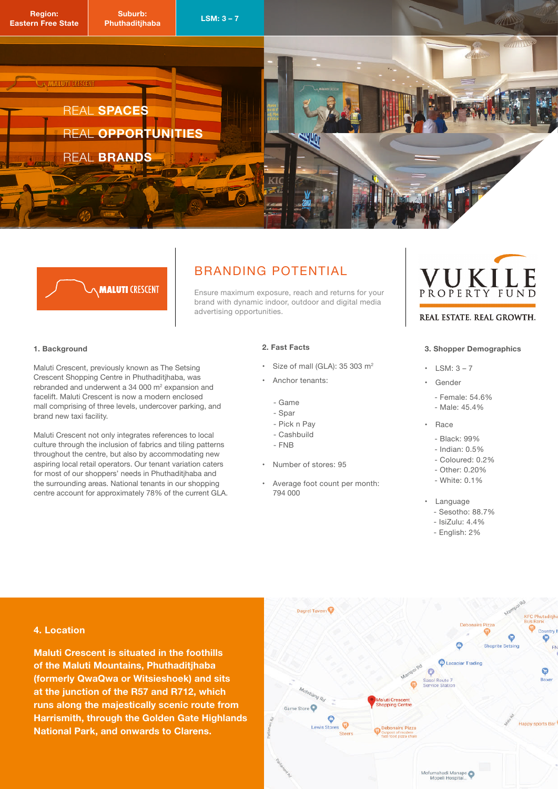

## **MALUTI CRESCENT**

## **BRANDING POTENTIAL**

Ensure maximum exposure, reach and returns for your brand with dynamic indoor, outdoor and digital media advertising opportunities.

#### **1. Background**

Maluti Crescent, previously known as The Setsing Crescent Shopping Centre in Phuthaditjhaba, was rebranded and underwent a 34 000  $\text{m}^2$  expansion and facelift. Maluti Crescent is now a modern enclosed mall comprising of three levels, undercover parking, and brand new taxi facility.

Maluti Crescent not only integrates references to local culture through the inclusion of fabrics and tiling patterns throughout the centre, but also by accommodating new aspiring local retail operators. Our tenant variation caters for most of our shoppers' needs in Phuthaditjhaba and the surrounding areas. National tenants in our shopping centre account for approximately 78% of the current GLA.

#### **2. Fast Facts**

- Size of mall (GLA):  $35,303$  m<sup>2</sup>
- Anchor tenants:
	- Game
	- Spar
	- Pick n Pay
	- Cashbuild
	- FNB
- Number of stores: 95
- Average foot count per month: 794 000

# PROPERTY FUI

#### REAL ESTATE. REAL GROWTH.

#### **3. Shopper Demographics**

- $\cdot$  LSM:  $3-7$
- Gender
	- Female: 54.6%
	- $-Male: 45.4%$
- $\cdot$  Race
	- Black: 99%
	- $-$  Indian:  $0.5%$
	- Coloured: 0.2%
	- Other: 0.20%
	- White: 0.1%
- Language
	- Sesotho: 88.7%
	- $-$  IsiZulu: 4.4%
	- English: 2%

#### **4. Location**

**Maluti Crescent is situated in the foothills of the Maluti Mountains, Phuthaditjhaba (formerly QwaQwa or Witsieshoek) and sits at the junction of the R57 and R712, which runs along the majestically scenic route from Harrismith, through the Golden Gate Highlands National Park, and onwards to Clarens.**